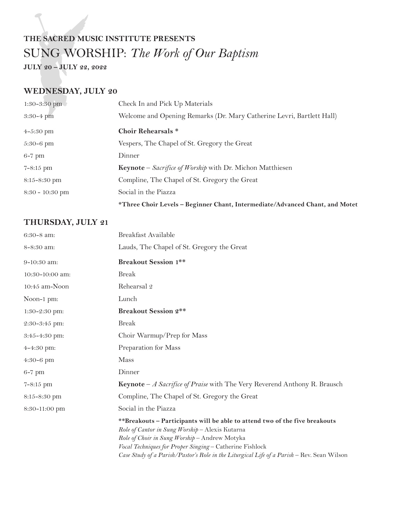# **THE SACRED MUSIC INSTITUTE PRESENTS** SUNG WORSHIP: *The Work of Our Baptism*

**JULY 20 – JULY 22, 2022**

#### **WEDNESDAY, JULY 20**

| Check In and Pick Up Materials                                               |
|------------------------------------------------------------------------------|
| Welcome and Opening Remarks (Dr. Mary Catherine Levri, Bartlett Hall)        |
| <b>Choir Rehearsals *</b>                                                    |
| Vespers, The Chapel of St. Gregory the Great                                 |
| Dinner                                                                       |
| <b>Keynote</b> – Sacrifice of Worship with Dr. Michon Matthiesen             |
| Compline, The Chapel of St. Gregory the Great                                |
| Social in the Piazza                                                         |
| *Three Choir Levels - Beginner Chant, Intermediate/Advanced Chant, and Motet |
|                                                                              |

#### **THURSDAY, JULY 21**

| $6:30-8$ am:      | Breakfast Available                                                                                                                                                                                                                                                                                                                       |
|-------------------|-------------------------------------------------------------------------------------------------------------------------------------------------------------------------------------------------------------------------------------------------------------------------------------------------------------------------------------------|
| 8-8:30 am:        | Lauds, The Chapel of St. Gregory the Great                                                                                                                                                                                                                                                                                                |
| 9-10:30 am:       | <b>Breakout Session 1**</b>                                                                                                                                                                                                                                                                                                               |
| 10:30-10:00 am:   | <b>Break</b>                                                                                                                                                                                                                                                                                                                              |
| $10:45$ am-Noon   | Rehearsal 2                                                                                                                                                                                                                                                                                                                               |
| Noon-1 pm:        | Lunch                                                                                                                                                                                                                                                                                                                                     |
| 1:30-2:30 pm:     | <b>Breakout Session 2**</b>                                                                                                                                                                                                                                                                                                               |
| $2:30-3:45$ pm:   | <b>Break</b>                                                                                                                                                                                                                                                                                                                              |
| $3:45 - 4:30$ pm: | Choir Warmup/Prep for Mass                                                                                                                                                                                                                                                                                                                |
| $4 - 4:30$ pm:    | Preparation for Mass                                                                                                                                                                                                                                                                                                                      |
| 4:30-6 pm         | <b>Mass</b>                                                                                                                                                                                                                                                                                                                               |
| $6-7$ pm          | Dinner                                                                                                                                                                                                                                                                                                                                    |
| $7 - 8:15$ pm     | <b>Keynote</b> - <i>A Sacrifice of Praise</i> with The Very Reverend Anthony R. Brausch                                                                                                                                                                                                                                                   |
| 8:15-8:30 pm      | Compline, The Chapel of St. Gregory the Great                                                                                                                                                                                                                                                                                             |
| 8:30-11:00 pm     | Social in the Piazza                                                                                                                                                                                                                                                                                                                      |
|                   | **Breakouts - Participants will be able to attend two of the five breakouts<br>Role of Cantor in Sung Worship - Alexis Kutarna<br>Role of Choir in Sung Worship - Andrew Motyka<br>Vocal Techniques for Proper Singing - Catherine Fishlock<br>Case Study of a Parish/Pastor's Role in the Liturgical Life of a Parish - Rev. Sean Wilson |